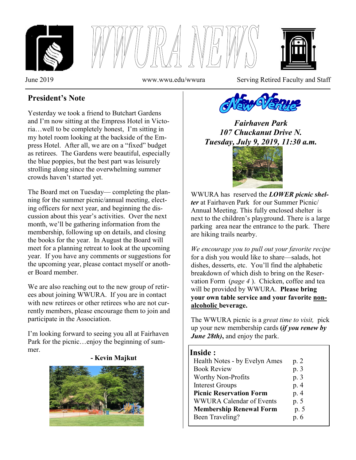





June 2019 www.wwu.edu/wwura Serving Retired Faculty and Staff

## **President's Note**

Yesterday we took a friend to Butchart Gardens and I'm now sitting at the Empress Hotel in Victoria…well to be completely honest, I'm sitting in my hotel room looking at the backside of the Empress Hotel. After all, we are on a "fixed" budget as retirees. The Gardens were beautiful, especially the blue poppies, but the best part was leisurely strolling along since the overwhelming summer crowds haven't started yet.

The Board met on Tuesday— completing the planning for the summer picnic/annual meeting, electing officers for next year, and beginning the discussion about this year's activities. Over the next month, we'll be gathering information from the membership, following up on details, and closing the books for the year. In August the Board will meet for a planning retreat to look at the upcoming year. If you have any comments or suggestions for the upcoming year, please contact myself or another Board member.

We are also reaching out to the new group of retirees about joining WWURA. If you are in contact with new retirees or other retirees who are not currently members, please encourage them to join and participate in the Association.

I'm looking forward to seeing you all at Fairhaven Park for the picnic…enjoy the beginning of summer.





*Fairhaven Park 107 Chuckanut Drive N. Tuesday, July 9, 2019, 11:30 a.m.*



WWURA has reserved the *LOWER picnic shelter* at Fairhaven Park for our Summer Picnic/ Annual Meeting. This fully enclosed shelter is next to the children's playground. There is a large parking area near the entrance to the park. There are hiking trails nearby.

*We encourage you to pull out your favorite recipe*  for a dish you would like to share—salads, hot dishes, desserts, etc. You'll find the alphabetic breakdown of which dish to bring on the Reservation Form (*page 4* ). Chicken, coffee and tea will be provided by WWURA. **Please bring your own table service and your favorite nonalcoholic beverage.**

The WWURA picnic is a *great time to visit,* pick up your new membership cards **(***if you renew by June 28th)***,** and enjoy the park.

## **Inside :**

| Health Notes - by Evelyn Ames   | p. 2 |
|---------------------------------|------|
| <b>Book Review</b>              | p. 3 |
| <b>Worthy Non-Profits</b>       | p. 3 |
| <b>Interest Groups</b>          | p. 4 |
| <b>Picnic Reservation Form</b>  | p. 4 |
| <b>WWURA Calendar of Events</b> | p. 5 |
| <b>Membership Renewal Form</b>  | p. 5 |
| Been Traveling?                 | p.6  |
|                                 |      |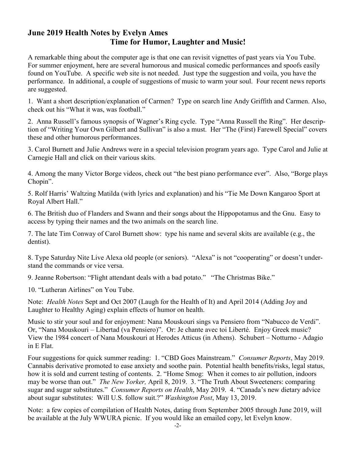## **June 2019 Health Notes by Evelyn Ames Time for Humor, Laughter and Music!**

A remarkable thing about the computer age is that one can revisit vignettes of past years via You Tube. For summer enjoyment, here are several humorous and musical comedic performances and spoofs easily found on YouTube. A specific web site is not needed. Just type the suggestion and voila, you have the performance. In additional, a couple of suggestions of music to warm your soul. Four recent news reports are suggested.

1. Want a short description/explanation of Carmen? Type on search line Andy Griffith and Carmen. Also, check out his "What it was, was football."

2. Anna Russell's famous synopsis of Wagner's Ring cycle. Type "Anna Russell the Ring". Her description of "Writing Your Own Gilbert and Sullivan" is also a must. Her "The (First) Farewell Special" covers these and other humorous performances.

3. Carol Burnett and Julie Andrews were in a special television program years ago. Type Carol and Julie at Carnegie Hall and click on their various skits.

4. Among the many Victor Borge videos, check out "the best piano performance ever". Also, "Borge plays" Chopin".

5. Rolf Harris' Waltzing Matilda (with lyrics and explanation) and his "Tie Me Down Kangaroo Sport at Royal Albert Hall."

6. The British duo of Flanders and Swann and their songs about the Hippopotamus and the Gnu. Easy to access by typing their names and the two animals on the search line.

7. The late Tim Conway of Carol Burnett show: type his name and several skits are available (e.g., the dentist).

8. Type Saturday Nite Live Alexa old people (or seniors). "Alexa" is not "cooperating" or doesn't understand the commands or vice versa.

9. Jeanne Robertson: "Flight attendant deals with a bad potato." "The Christmas Bike."

10. "Lutheran Airlines" on You Tube.

Note: *Health Notes* Sept and Oct 2007 (Laugh for the Health of It) and April 2014 (Adding Joy and Laughter to Healthy Aging) explain effects of humor on health.

Music to stir your soul and for enjoyment: Nana Mouskouri sings va Pensiero from "Nabucco de Verdi". Or, "Nana Mouskouri – Libertad (va Pensiero)". Or: Je chante avec toi Liberté. Enjoy Greek music? View the 1984 concert of Nana Mouskouri at Herodes Atticus (in Athens). Schubert – Notturno - Adagio in E Flat.

Four suggestions for quick summer reading: 1. "CBD Goes Mainstream." *Consumer Reports*, May 2019. Cannabis derivative promoted to ease anxiety and soothe pain. Potential health benefits/risks, legal status, how it is sold and current testing of contents. 2. "Home Smog: When it comes to air pollution, indoors may be worse than out." *The New Yorker*, April 8, 2019. 3. "The Truth About Sweeteners: comparing sugar and sugar substitutes." *Consumer Reports on Health*, May 2019. 4. "Canada's new dietary advice about sugar substitutes: Will U.S. follow suit.?" *Washington Post*, May 13, 2019.

Note: a few copies of compilation of Health Notes, dating from September 2005 through June 2019, will be available at the July WWURA picnic. If you would like an emailed copy, let Evelyn know.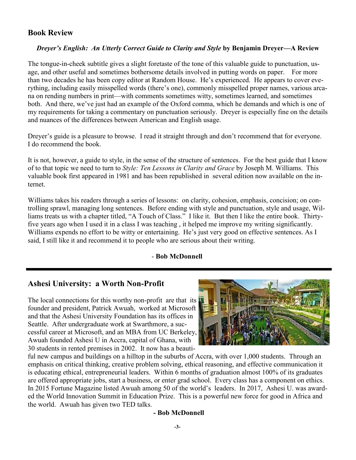## **Book Review**

#### *Dreyer's English: An Utterly Correct Guide to Clarity and Style* **by Benjamin Dreyer—A Review**

The tongue-in-cheek subtitle gives a slight foretaste of the tone of this valuable guide to punctuation, usage, and other useful and sometimes bothersome details involved in putting words on paper. For more than two decades he has been copy editor at Random House. He's experienced. He appears to cover everything, including easily misspelled words (there's one), commonly misspelled proper names, various arcana on rending numbers in print—with comments sometimes witty, sometimes learned, and sometimes both. And there, we've just had an example of the Oxford comma, which he demands and which is one of my requirements for taking a commentary on punctuation seriously. Dreyer is especially fine on the details and nuances of the differences between American and English usage.

Dreyer's guide is a pleasure to browse. I read it straight through and don't recommend that for everyone. I do recommend the book.

It is not, however, a guide to style, in the sense of the structure of sentences. For the best guide that I know of to that topic we need to turn to *Style: Ten Lessons in Clarity and Grace* by Joseph M. Williams. This valuable book first appeared in 1981 and has been republished in several edition now available on the internet.

Williams takes his readers through a series of lessons: on clarity, cohesion, emphasis, concision; on controlling sprawl, managing long sentences. Before ending with style and punctuation, style and usage, Williams treats us with a chapter titled, "A Touch of Class." I like it. But then I like the entire book. Thirtyfive years ago when I used it in a class I was teaching , it helped me improve my writing significantly. Williams expends no effort to be witty or entertaining. He's just very good on effective sentences. As I said, I still like it and recommend it to people who are serious about their writing.

#### - **Bob McDonnell**

## **Ashesi University: a Worth Non-Profit**

The local connections for this worthy non-profit are that its founder and president, Patrick Awuah, worked at Microsoft and that the Ashesi University Foundation has its offices in Seattle. After undergraduate work at Swarthmore, a successful career at Microsoft, and an MBA from UC Berkeley, Awuah founded Ashesi U in Accra, capital of Ghana, with 30 students in rented premises in 2002. It now has a beauti-



ful new campus and buildings on a hilltop in the suburbs of Accra, with over 1,000 students. Through an emphasis on critical thinking, creative problem solving, ethical reasoning, and effective communication it is educating ethical, entrepreneurial leaders. Within 6 months of graduation almost 100% of its graduates are offered appropriate jobs, start a business, or enter grad school. Every class has a component on ethics. In 2015 Fortune Magazine listed Awuah among 50 of the world's leaders. In 2017, Ashesi U. was awarded the World Innovation Summit in Education Prize. This is a powerful new force for good in Africa and the world. Awuah has given two TED talks.

#### **- Bob McDonnell**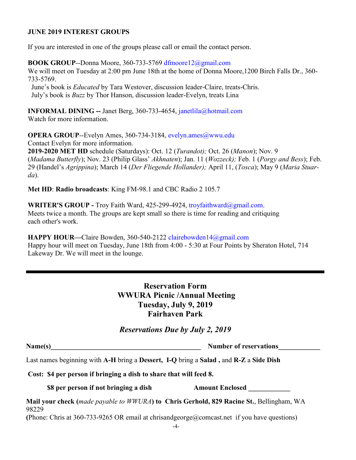#### **JUNE 2019 INTEREST GROUPS**

If you are interested in one of the groups please call or email the contact person.

**BOOK GROUP**--Donna Moore, 360-733-5769 dfmoore12@gmail.com We will meet on Tuesday at 2:00 pm June 18th at the home of Donna Moore,1200 Birch Falls Dr., 360- 733-5769.

 June's book is *Educated* by Tara Westover, discussion leader-Claire, treats-Chris. July's book is *Buzz* by Thor Hanson, discussion leader-Evelyn, treats Lina

**INFORMAL DINING --** Janet Berg, 360-733-4654, janetlila@hotmail.com Watch for more information.

**OPERA GROUP--Evelyn Ames, 360-734-3184, evelyn.ames@wwu.edu** Contact Evelyn for more information.

**2019-2020 MET HD** schedule (Saturdays): Oct. 12 (*Turandot);* Oct. 26 (*Manon*); Nov. 9 (*Madama Butterfly*); Nov. 23 (Philip Glass' *Akhnaten*); Jan. 11 (*Wozzeck);* Feb. 1 (*Porgy and Bess*); Feb. 29 (Handel's *Agrippina*); March 14 (*Der Fliegende Hollander);* April 11, (*Tosca*); May 9 (*Maria Stuarda*).

**Met HD**: **Radio broadcasts**: King FM-98.1 and CBC Radio 2 105.7

**WRITER'S GROUP -** Troy Faith Ward, 425-299-4924, troyfaithward@gmail.com. Meets twice a month. The groups are kept small so there is time for reading and critiquing each other's work.

**HAPPY HOUR—**Claire Bowden, 360-540-2122 clairebowden14@gmail.com Happy hour will meet on Tuesday, June 18th from 4:00 - 5:30 at Four Points by Sheraton Hotel, 714 Lakeway Dr. We will meet in the lounge.

> **Reservation Form WWURA Picnic /Annual Meeting Tuesday, July 9, 2019 Fairhaven Park**

*Reservations Due by July 2, 2019*

Name(s) Number of reservations

Last names beginning with **A-H** bring a **Dessert, I-Q** bring a **Salad ,** and **R-Z** a **Side Dish**

**Cost: \$4 per person if bringing a dish to share that will feed 8.**

**\$8 per person if not bringing a dish**  $\blacksquare$  **Amount Enclosed** 

**Mail your check (***made payable to WWURA***) to Chris Gerhold, 829 Racine St.**, Bellingham, WA 98229

**(**Phone: Chris at 360-733-9265 OR email at chrisandgeorge@comcast.net if you have questions)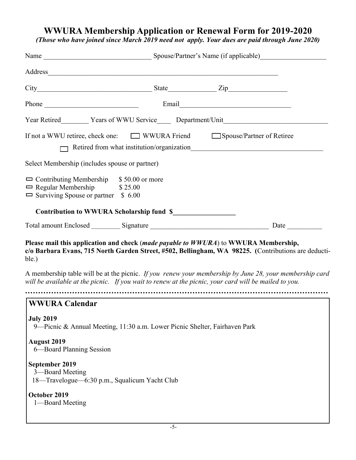# **WWURA Membership Application or Renewal Form for 2019-2020**

*(Those who have joined since March 2019 need not apply. Your dues are paid through June 2020)*

| Address                                                                                                                             |  |                                                                                                         |
|-------------------------------------------------------------------------------------------------------------------------------------|--|---------------------------------------------------------------------------------------------------------|
|                                                                                                                                     |  |                                                                                                         |
|                                                                                                                                     |  |                                                                                                         |
|                                                                                                                                     |  |                                                                                                         |
| If not a WWU retiree, check one: WWURA Friend Spouse/Partner of Retiree                                                             |  | Retired from what institution/organization                                                              |
| Select Membership (includes spouse or partner)                                                                                      |  |                                                                                                         |
| $\Box$ Contributing Membership $$50.00$ or more<br>$\Box$ Regular Membership $$25.00$<br>$\Box$ Surviving Spouse or partner \$ 6.00 |  |                                                                                                         |
| Contribution to WWURA Scholarship fund \$                                                                                           |  |                                                                                                         |
|                                                                                                                                     |  | Date                                                                                                    |
| Please mail this application and check (made payable to WWURA) to WWURA Membership,<br>ble.)                                        |  | c/o Barbara Evans, 715 North Garden Street, #502, Bellingham, WA 98225. (Contributions are deducti-     |
| will be available at the picnic. If you wait to renew at the picnic, your card will be mailed to you.                               |  | A membership table will be at the picnic. If you renew your membership by June 28, your membership card |
| <b>WWURA Calendar</b>                                                                                                               |  |                                                                                                         |
| <b>July 2019</b><br>9—Picnic & Annual Meeting, 11:30 a.m. Lower Picnic Shelter, Fairhaven Park                                      |  |                                                                                                         |
| <b>August 2019</b><br>6—Board Planning Session                                                                                      |  |                                                                                                         |
| September 2019<br>3-Board Meeting<br>18-Travelogue-6:30 p.m., Squalicum Yacht Club                                                  |  |                                                                                                         |
| October 2019<br>1-Board Meeting                                                                                                     |  |                                                                                                         |